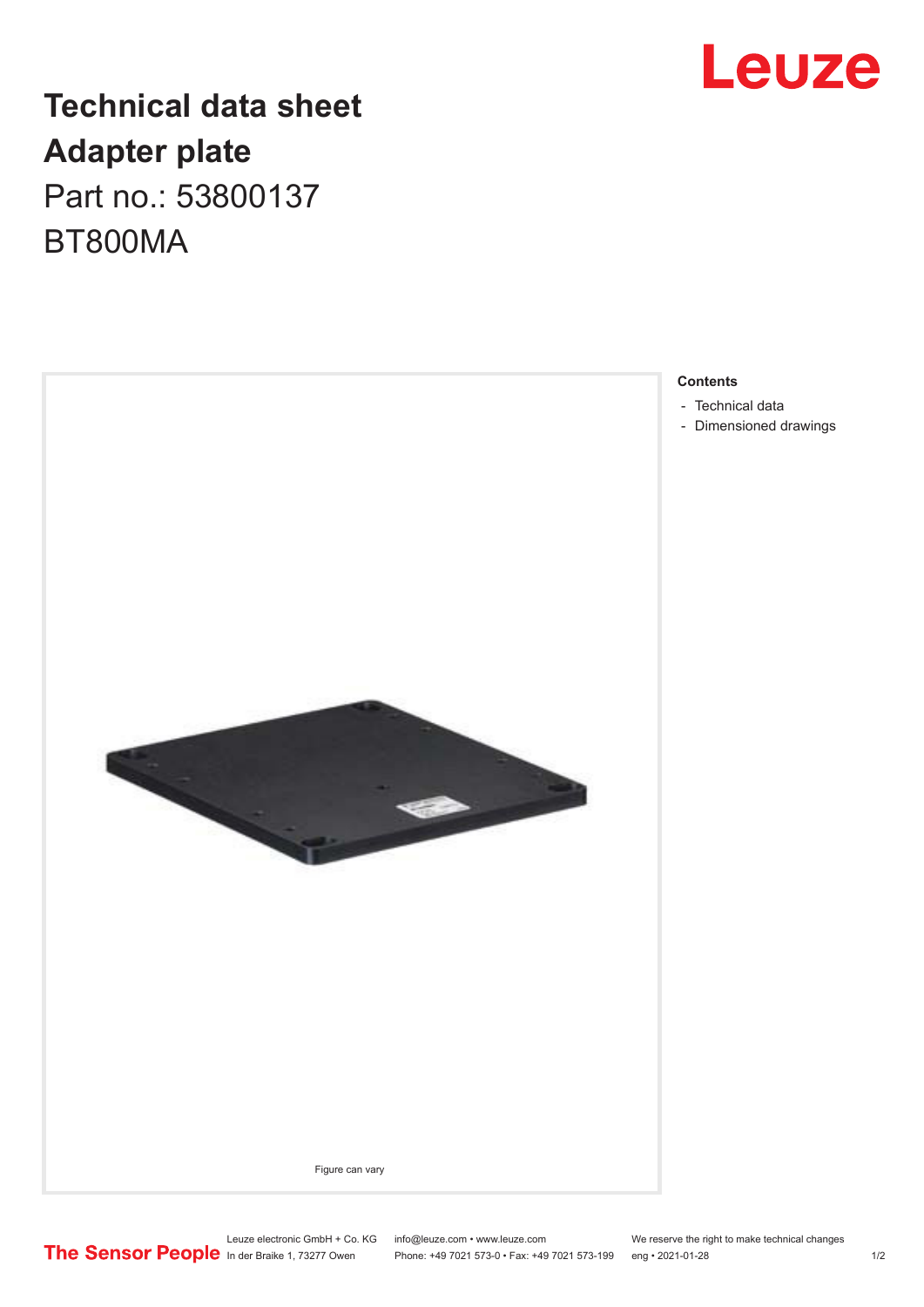## **Leuze**

## **Technical data sheet Adapter plate** Part no.: 53800137 BT800MA



- [Dimensioned drawings](#page-1-0)